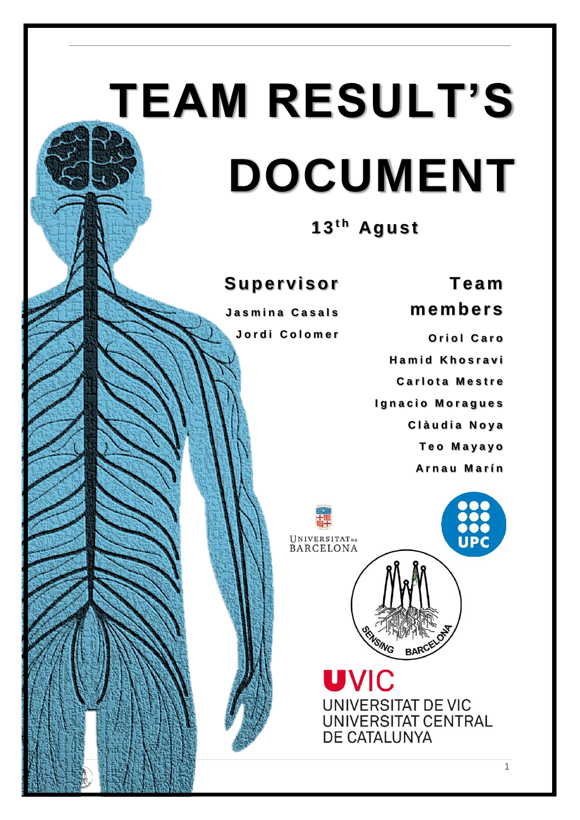# **TEAM RESULT'S DOCUMENT**

13<sup>th</sup> Agust

# **S u p er vi so r**

**J a s m i n a C a s a l s J o r d i C o l o m e r**

**O r i o l C a r o H a m i d K h o s r a v i Carlota Mestre Ignacio Moragues C l à u d i a N o y a T e o M a y a y o A r n a u M a r í n**

**T eam** 

**memb ers**



**UVIC UNIVERSITAT DE VIC** UNIVERSITAT CENTRAL DE CATALUNYA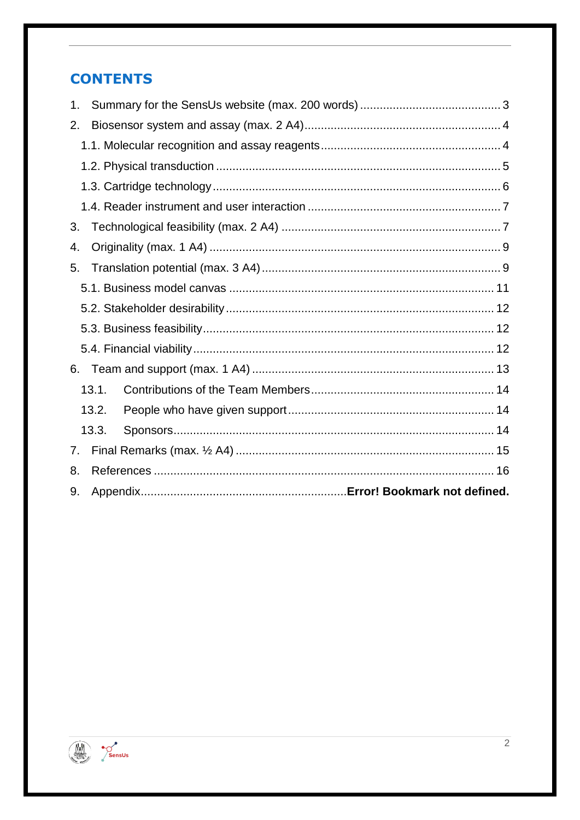# **CONTENTS**

| 1. |       |  |  |  |  |
|----|-------|--|--|--|--|
| 2. |       |  |  |  |  |
|    |       |  |  |  |  |
|    |       |  |  |  |  |
|    |       |  |  |  |  |
|    |       |  |  |  |  |
| 3. |       |  |  |  |  |
| 4. |       |  |  |  |  |
| 5. |       |  |  |  |  |
|    |       |  |  |  |  |
|    |       |  |  |  |  |
|    |       |  |  |  |  |
|    |       |  |  |  |  |
| 6. |       |  |  |  |  |
|    | 13.1. |  |  |  |  |
|    | 13.2. |  |  |  |  |
|    | 13.3. |  |  |  |  |
| 7. |       |  |  |  |  |
| 8. |       |  |  |  |  |
| 9. |       |  |  |  |  |

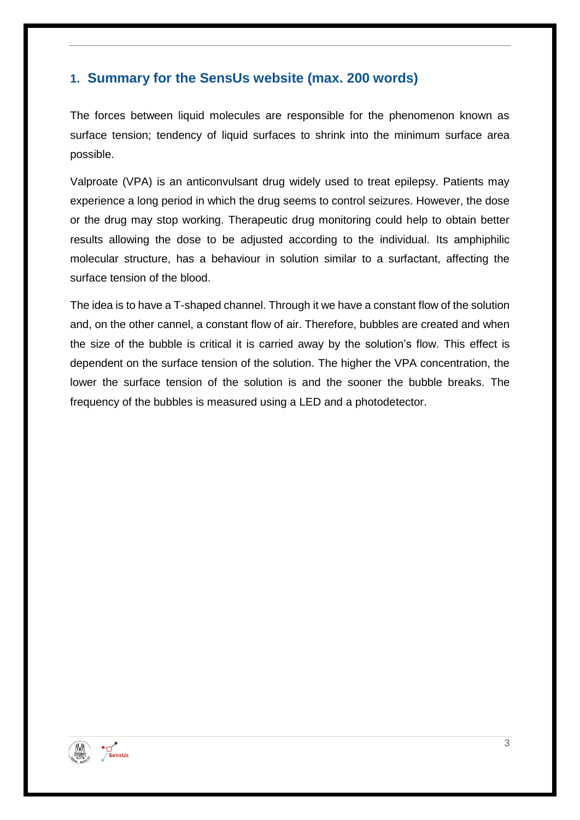# <span id="page-2-0"></span>**1. Summary for the SensUs website (max. 200 words)**

The forces between liquid molecules are responsible for the phenomenon known as surface tension; tendency of liquid surfaces to shrink into the minimum surface area possible.

Valproate (VPA) is an anticonvulsant drug widely used to treat epilepsy. Patients may experience a long period in which the drug seems to control seizures. However, the dose or the drug may stop working. Therapeutic drug monitoring could help to obtain better results allowing the dose to be adjusted according to the individual. Its amphiphilic molecular structure, has a behaviour in solution similar to a surfactant, affecting the surface tension of the blood.

The idea is to have a T-shaped channel. Through it we have a constant flow of the solution and, on the other cannel, a constant flow of air. Therefore, bubbles are created and when the size of the bubble is critical it is carried away by the solution's flow. This effect is dependent on the surface tension of the solution. The higher the VPA concentration, the lower the surface tension of the solution is and the sooner the bubble breaks. The frequency of the bubbles is measured using a LED and a photodetector.

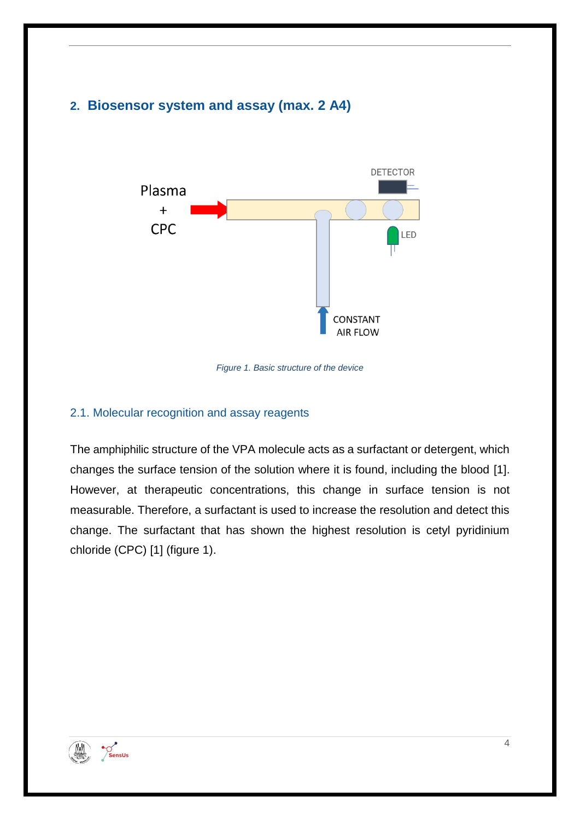# <span id="page-3-0"></span>**2. Biosensor system and assay (max. 2 A4)**



*Figure 1. Basic structure of the device*

#### <span id="page-3-1"></span>2.1. Molecular recognition and assay reagents

The amphiphilic structure of the VPA molecule acts as a surfactant or detergent, which changes the surface tension of the solution where it is found, including the blood [1]. However, at therapeutic concentrations, this change in surface tension is not measurable. Therefore, a surfactant is used to increase the resolution and detect this change. The surfactant that has shown the highest resolution is cetyl pyridinium chloride (CPC) [1] (figure 1).

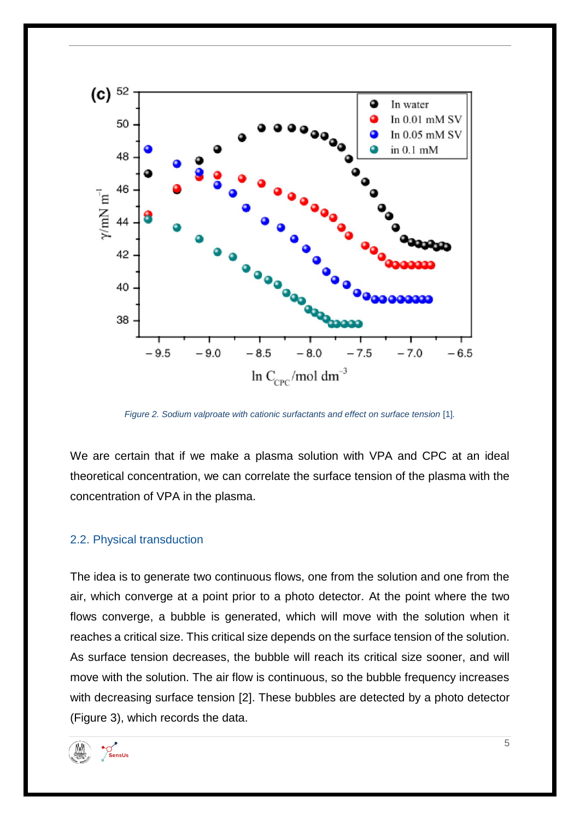

*Figure 2. Sodium valproate with cationic surfactants and effect on surface tension* [1]*.* 

We are certain that if we make a plasma solution with VPA and CPC at an ideal theoretical concentration, we can correlate the surface tension of the plasma with the concentration of VPA in the plasma.

#### <span id="page-4-0"></span>2.2. Physical transduction

The idea is to generate two continuous flows, one from the solution and one from the air, which converge at a point prior to a photo detector. At the point where the two flows converge, a bubble is generated, which will move with the solution when it reaches a critical size. This critical size depends on the surface tension of the solution. As surface tension decreases, the bubble will reach its critical size sooner, and will move with the solution. The air flow is continuous, so the bubble frequency increases with decreasing surface tension [2]. These bubbles are detected by a photo detector (Figure 3), which records the data.

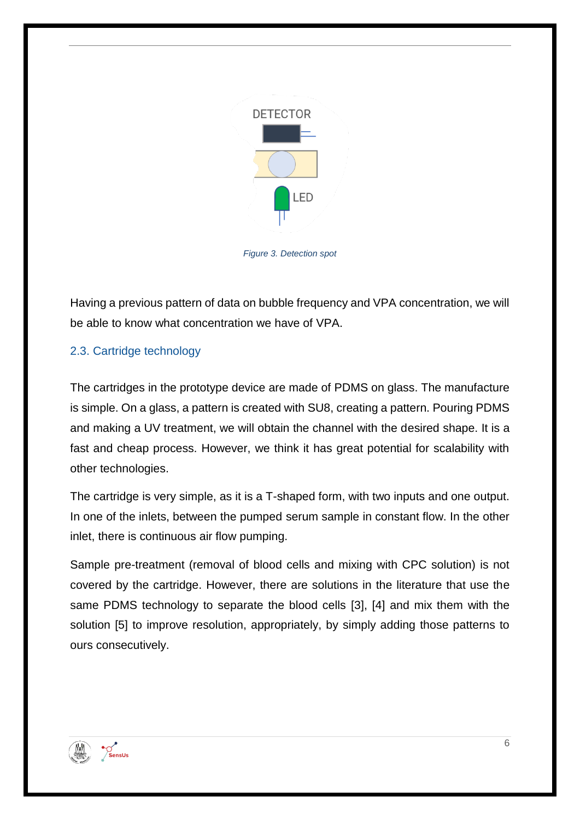

*Figure 3. Detection spot*

Having a previous pattern of data on bubble frequency and VPA concentration, we will be able to know what concentration we have of VPA.

#### <span id="page-5-0"></span>2.3. Cartridge technology

The cartridges in the prototype device are made of PDMS on glass. The manufacture is simple. On a glass, a pattern is created with SU8, creating a pattern. Pouring PDMS and making a UV treatment, we will obtain the channel with the desired shape. It is a fast and cheap process. However, we think it has great potential for scalability with other technologies.

The cartridge is very simple, as it is a T-shaped form, with two inputs and one output. In one of the inlets, between the pumped serum sample in constant flow. In the other inlet, there is continuous air flow pumping.

Sample pre-treatment (removal of blood cells and mixing with CPC solution) is not covered by the cartridge. However, there are solutions in the literature that use the same PDMS technology to separate the blood cells [3], [4] and mix them with the solution [5] to improve resolution, appropriately, by simply adding those patterns to ours consecutively.

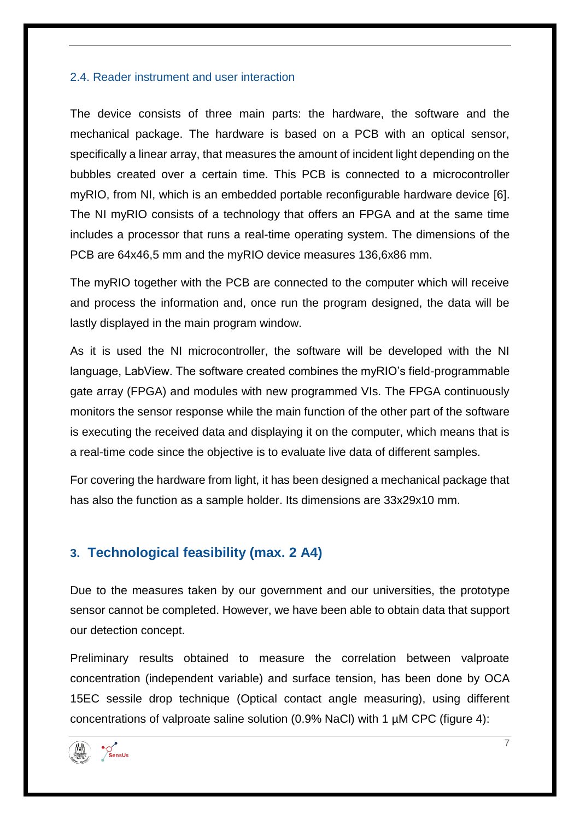#### <span id="page-6-0"></span>2.4. Reader instrument and user interaction

The device consists of three main parts: the hardware, the software and the mechanical package. The hardware is based on a PCB with an optical sensor, specifically a linear array, that measures the amount of incident light depending on the bubbles created over a certain time. This PCB is connected to a microcontroller myRIO, from NI, which is an embedded portable reconfigurable hardware device [6]. The NI myRIO consists of a technology that offers an FPGA and at the same time includes a processor that runs a real-time operating system. The dimensions of the PCB are 64x46,5 mm and the myRIO device measures 136,6x86 mm.

The myRIO together with the PCB are connected to the computer which will receive and process the information and, once run the program designed, the data will be lastly displayed in the main program window.

As it is used the NI microcontroller, the software will be developed with the NI language, LabView. The software created combines the myRIO's field-programmable gate array (FPGA) and modules with new programmed VIs. The FPGA continuously monitors the sensor response while the main function of the other part of the software is executing the received data and displaying it on the computer, which means that is a real-time code since the objective is to evaluate live data of different samples.

For covering the hardware from light, it has been designed a mechanical package that has also the function as a sample holder. Its dimensions are 33x29x10 mm.

## <span id="page-6-1"></span>**3. Technological feasibility (max. 2 A4)**

Due to the measures taken by our government and our universities, the prototype sensor cannot be completed. However, we have been able to obtain data that support our detection concept.

Preliminary results obtained to measure the correlation between valproate concentration (independent variable) and surface tension, has been done by OCA 15EC sessile drop technique (Optical contact angle measuring), using different concentrations of valproate saline solution (0.9% NaCl) with 1 µM CPC (figure 4):



7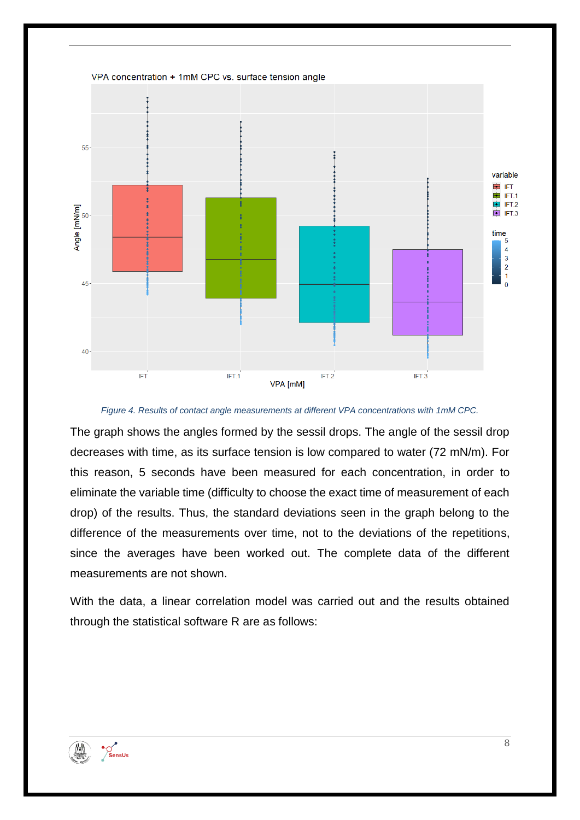

*Figure 4. Results of contact angle measurements at different VPA concentrations with 1mM CPC.*

The graph shows the angles formed by the sessil drops. The angle of the sessil drop decreases with time, as its surface tension is low compared to water (72 mN/m). For this reason, 5 seconds have been measured for each concentration, in order to eliminate the variable time (difficulty to choose the exact time of measurement of each drop) of the results. Thus, the standard deviations seen in the graph belong to the difference of the measurements over time, not to the deviations of the repetitions, since the averages have been worked out. The complete data of the different measurements are not shown.

With the data, a linear correlation model was carried out and the results obtained through the statistical software R are as follows:

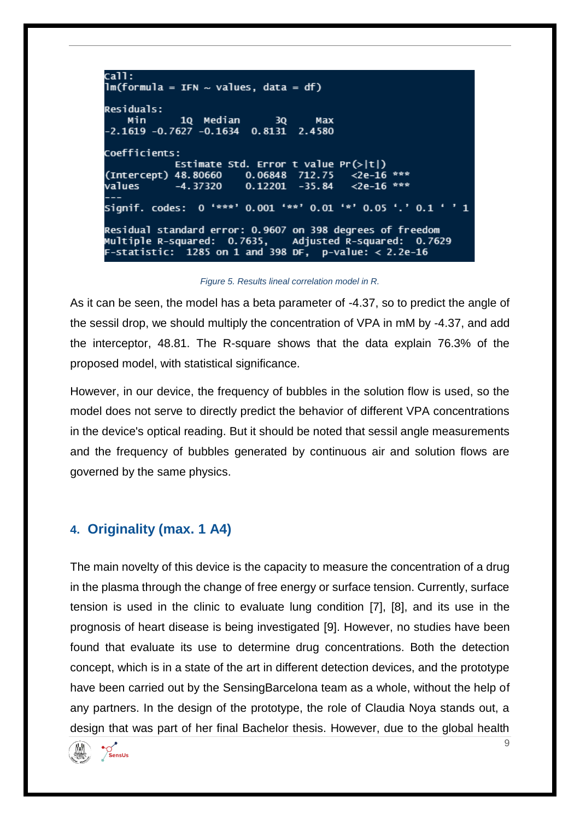$cal1$ :  $lm(formula = IFN ~ values, data = df)$ **Residuals:** 1Q Median Min  $3Q$ Max  $-2.1619 - 0.7627 - 0.1634$  0.8131 2.4580 Coefficients: Estimate Std. Error t value Pr(>|t|) (Intercept) 48.80660 0.06848 712.75  $\leq 2e-16$  \*\*\* values  $-4.37320$  $0.12201 - 35.84$  $<$ 2e-16 \*\*\* Signif. codes: 0 '\*\*\*' 0.001 '\*\*' 0.01 '\*' 0.05 '.' 0.1 ' ' 1 Residual standard error: 0.9607 on 398 degrees of freedom Multiple R-squared: 0.7635, Adjusted R-squared: 0.7629 F-statistic:  $1285$  on 1 and 398 DF, p-value: < 2.2e-16

*Figure 5. Results lineal correlation model in R.*

As it can be seen, the model has a beta parameter of -4.37, so to predict the angle of the sessil drop, we should multiply the concentration of VPA in mM by -4.37, and add the interceptor, 48.81. The R-square shows that the data explain 76.3% of the proposed model, with statistical significance.

However, in our device, the frequency of bubbles in the solution flow is used, so the model does not serve to directly predict the behavior of different VPA concentrations in the device's optical reading. But it should be noted that sessil angle measurements and the frequency of bubbles generated by continuous air and solution flows are governed by the same physics.

## <span id="page-8-0"></span>**4. Originality (max. 1 A4)**

<span id="page-8-1"></span>The main novelty of this device is the capacity to measure the concentration of a drug in the plasma through the change of free energy or surface tension. Currently, surface tension is used in the clinic to evaluate lung condition [7], [8], and its use in the prognosis of heart disease is being investigated [9]. However, no studies have been found that evaluate its use to determine drug concentrations. Both the detection concept, which is in a state of the art in different detection devices, and the prototype have been carried out by the SensingBarcelona team as a whole, without the help of any partners. In the design of the prototype, the role of Claudia Noya stands out, a design that was part of her final Bachelor thesis. However, due to the global health

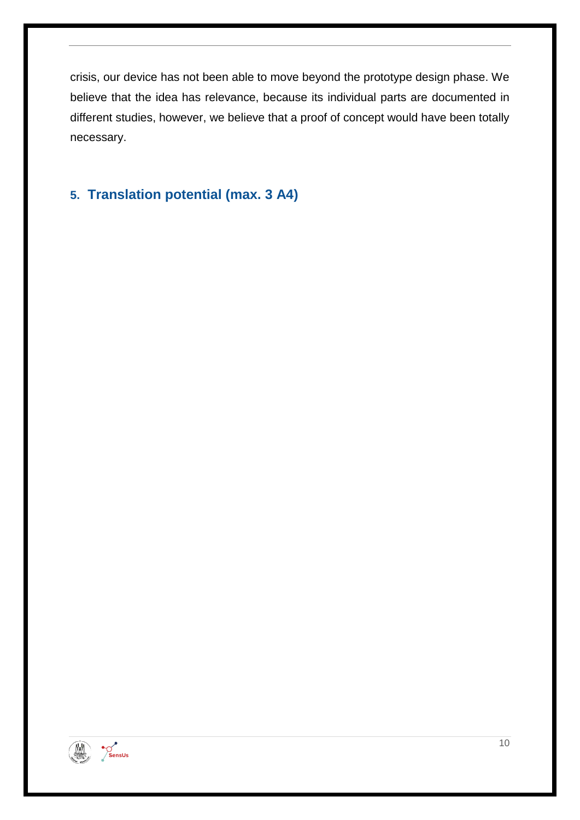crisis, our device has not been able to move beyond the prototype design phase. We believe that the idea has relevance, because its individual parts are documented in different studies, however, we believe that a proof of concept would have been totally necessary.

# <span id="page-9-0"></span>**5. Translation potential (max. 3 A4)**

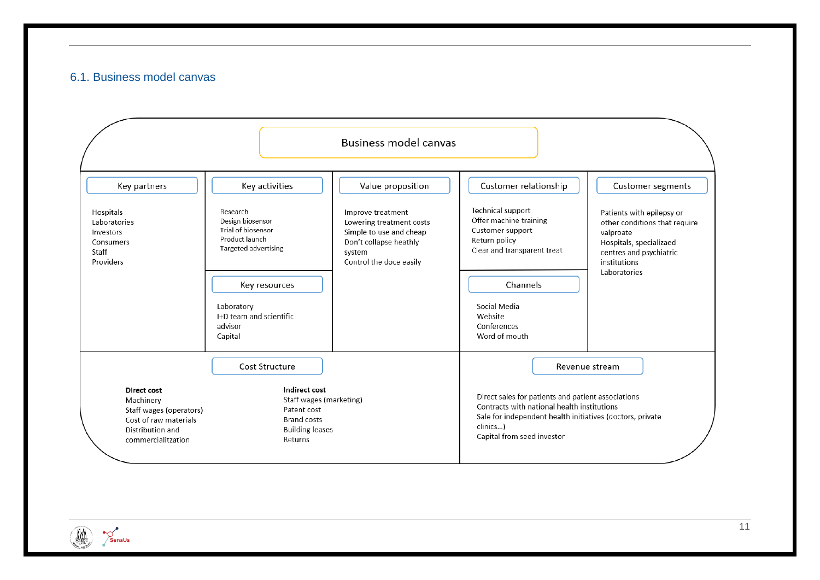#### 6.1. Business model canvas



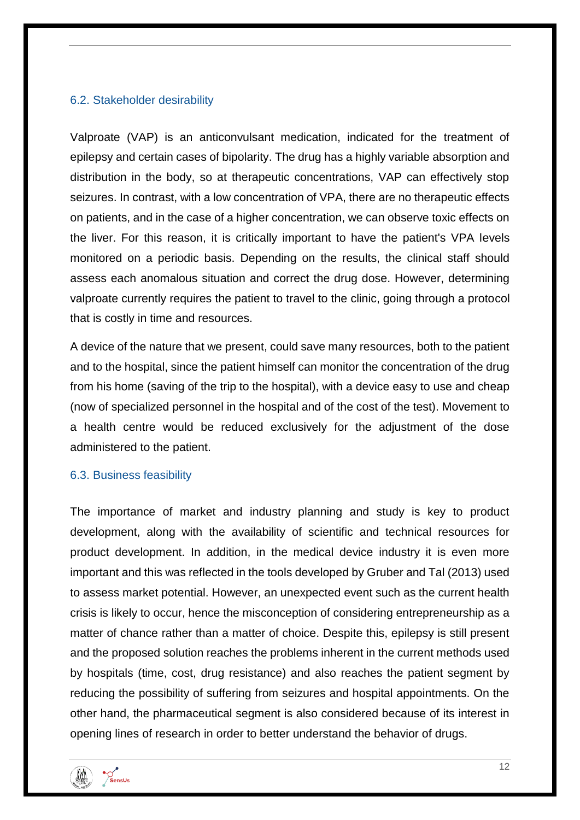#### <span id="page-11-0"></span>6.2. Stakeholder desirability

<span id="page-11-1"></span>Valproate (VAP) is an anticonvulsant medication, indicated for the treatment of epilepsy and certain cases of bipolarity. The drug has a highly variable absorption and distribution in the body, so at therapeutic concentrations, VAP can effectively stop seizures. In contrast, with a low concentration of VPA, there are no therapeutic effects on patients, and in the case of a higher concentration, we can observe toxic effects on the liver. For this reason, it is critically important to have the patient's VPA levels monitored on a periodic basis. Depending on the results, the clinical staff should assess each anomalous situation and correct the drug dose. However, determining valproate currently requires the patient to travel to the clinic, going through a protocol that is costly in time and resources.

A device of the nature that we present, could save many resources, both to the patient and to the hospital, since the patient himself can monitor the concentration of the drug from his home (saving of the trip to the hospital), with a device easy to use and cheap (now of specialized personnel in the hospital and of the cost of the test). Movement to a health centre would be reduced exclusively for the adjustment of the dose administered to the patient.

#### 6.3. Business feasibility

<span id="page-11-2"></span>The importance of market and industry planning and study is key to product development, along with the availability of scientific and technical resources for product development. In addition, in the medical device industry it is even more important and this was reflected in the tools developed by Gruber and Tal (2013) used to assess market potential. However, an unexpected event such as the current health crisis is likely to occur, hence the misconception of considering entrepreneurship as a matter of chance rather than a matter of choice. Despite this, epilepsy is still present and the proposed solution reaches the problems inherent in the current methods used by hospitals (time, cost, drug resistance) and also reaches the patient segment by reducing the possibility of suffering from seizures and hospital appointments. On the other hand, the pharmaceutical segment is also considered because of its interest in opening lines of research in order to better understand the behavior of drugs.

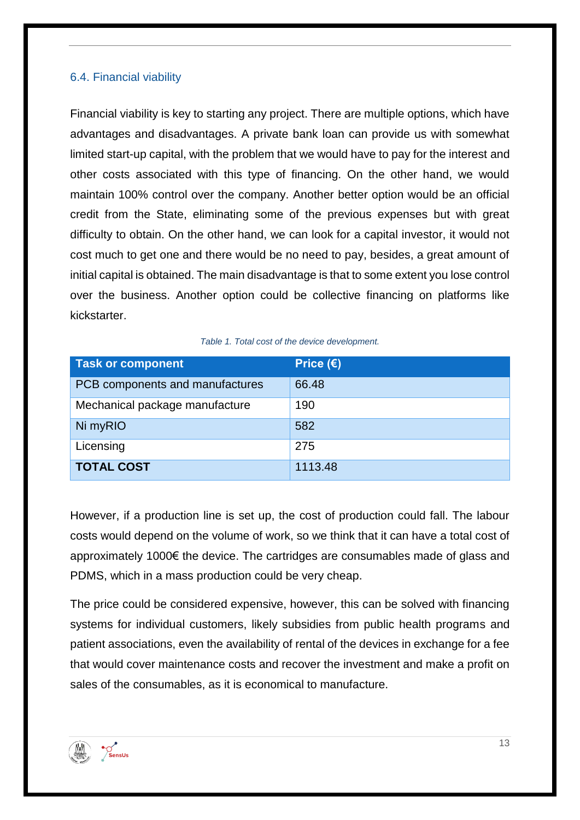#### 6.4. Financial viability

<span id="page-12-0"></span>Financial viability is key to starting any project. There are multiple options, which have advantages and disadvantages. A private bank loan can provide us with somewhat limited start-up capital, with the problem that we would have to pay for the interest and other costs associated with this type of financing. On the other hand, we would maintain 100% control over the company. Another better option would be an official credit from the State, eliminating some of the previous expenses but with great difficulty to obtain. On the other hand, we can look for a capital investor, it would not cost much to get one and there would be no need to pay, besides, a great amount of initial capital is obtained. The main disadvantage is that to some extent you lose control over the business. Another option could be collective financing on platforms like kickstarter.

|  |  |  | Table 1. Total cost of the device development. |
|--|--|--|------------------------------------------------|
|--|--|--|------------------------------------------------|

| <b>Task or component</b>        | Price $(\epsilon)$ |
|---------------------------------|--------------------|
| PCB components and manufactures | 66.48              |
| Mechanical package manufacture  | 190                |
| Ni myRIO                        | 582                |
| Licensing                       | 275                |
| <b>TOTAL COST</b>               | 1113.48            |

However, if a production line is set up, the cost of production could fall. The labour costs would depend on the volume of work, so we think that it can have a total cost of approximately 1000€ the device. The cartridges are consumables made of glass and PDMS, which in a mass production could be very cheap.

The price could be considered expensive, however, this can be solved with financing systems for individual customers, likely subsidies from public health programs and patient associations, even the availability of rental of the devices in exchange for a fee that would cover maintenance costs and recover the investment and make a profit on sales of the consumables, as it is economical to manufacture.

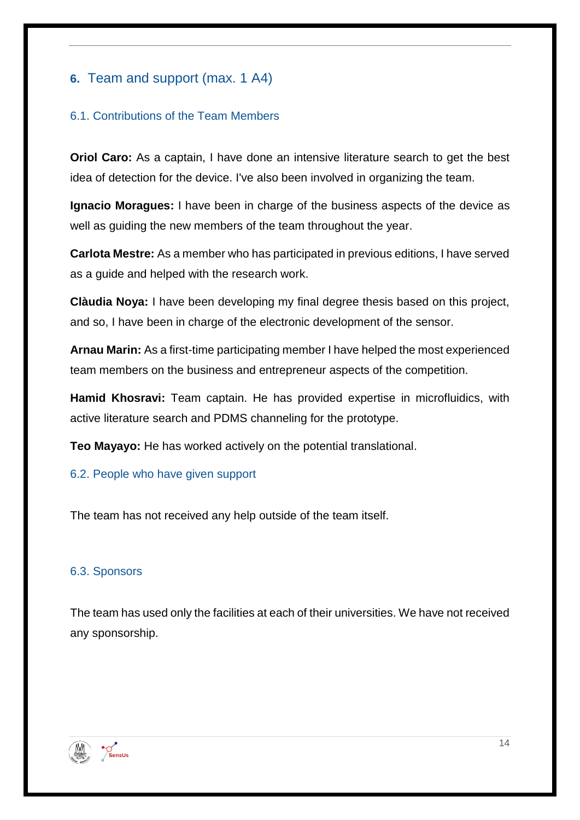# **6.** Team and support (max. 1 A4)

### <span id="page-13-0"></span>6.1. Contributions of the Team Members

**Oriol Caro:** As a captain, I have done an intensive literature search to get the best idea of detection for the device. I've also been involved in organizing the team.

**Ignacio Moragues:** I have been in charge of the business aspects of the device as well as guiding the new members of the team throughout the year.

**Carlota Mestre:** As a member who has participated in previous editions, I have served as a guide and helped with the research work.

**Clàudia Noya:** I have been developing my final degree thesis based on this project, and so, I have been in charge of the electronic development of the sensor.

**Arnau Marin:** As a first-time participating member I have helped the most experienced team members on the business and entrepreneur aspects of the competition.

**Hamid Khosravi:** Team captain. He has provided expertise in microfluidics, with active literature search and PDMS channeling for the prototype.

**Teo Mayayo:** He has worked actively on the potential translational.

## <span id="page-13-1"></span>6.2. People who have given support

The team has not received any help outside of the team itself.

## <span id="page-13-2"></span>6.3. Sponsors

The team has used only the facilities at each of their universities. We have not received any sponsorship.

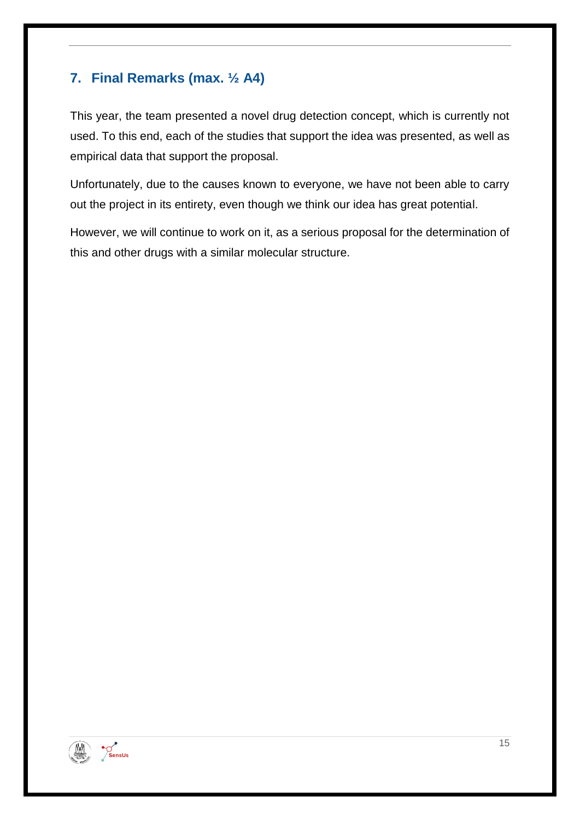# <span id="page-14-0"></span>**7. Final Remarks (max. ½ A4)**

This year, the team presented a novel drug detection concept, which is currently not used. To this end, each of the studies that support the idea was presented, as well as empirical data that support the proposal.

Unfortunately, due to the causes known to everyone, we have not been able to carry out the project in its entirety, even though we think our idea has great potential.

However, we will continue to work on it, as a serious proposal for the determination of this and other drugs with a similar molecular structure.



15